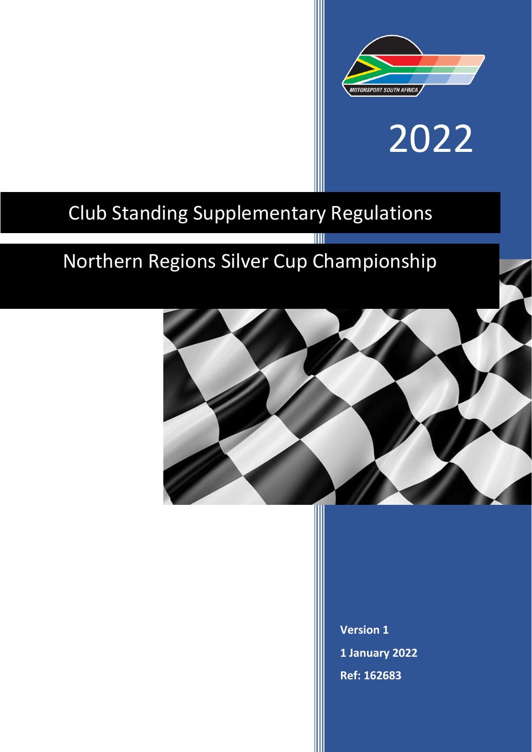

# 2022

# Club Standing Supplementary Regulations

# Northern Regions Silver Cup Championship



T

**Version 1 1 January 2022 Ref: 162683**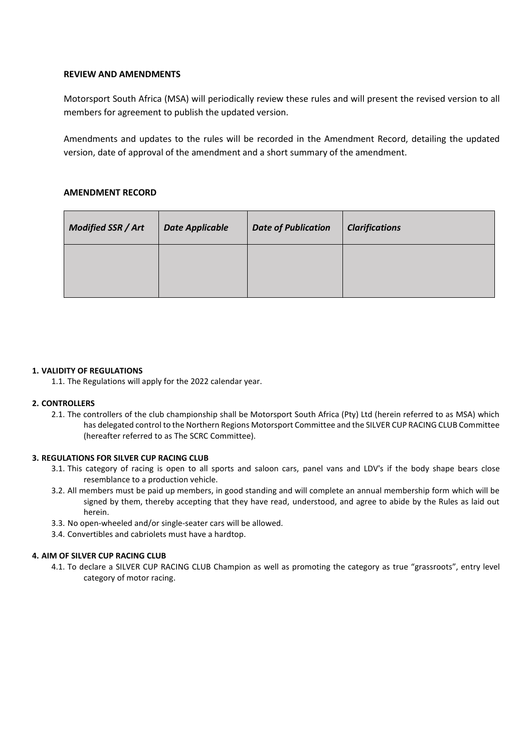# **REVIEW AND AMENDMENTS**

Motorsport South Africa (MSA) will periodically review these rules and will present the revised version to all members for agreement to publish the updated version.

Amendments and updates to the rules will be recorded in the Amendment Record, detailing the updated version, date of approval of the amendment and a short summary of the amendment.

# **AMENDMENT RECORD**

| <b>Modified SSR / Art</b> | <b>Date Applicable</b> | <b>Date of Publication</b> | <b>Clarifications</b> |
|---------------------------|------------------------|----------------------------|-----------------------|
|                           |                        |                            |                       |

#### **1. VALIDITY OF REGULATIONS**

1.1. The Regulations will apply for the 2022 calendar year.

#### **2. CONTROLLERS**

2.1. The controllers of the club championship shall be Motorsport South Africa (Pty) Ltd (herein referred to as MSA) which has delegated control to the Northern Regions Motorsport Committee and the SILVER CUP RACING CLUB Committee (hereafter referred to as The SCRC Committee).

#### **3. REGULATIONS FOR SILVER CUP RACING CLUB**

- 3.1. This category of racing is open to all sports and saloon cars, panel vans and LDV's if the body shape bears close resemblance to a production vehicle.
- 3.2. All members must be paid up members, in good standing and will complete an annual membership form which will be signed by them, thereby accepting that they have read, understood, and agree to abide by the Rules as laid out herein.
- 3.3. No open-wheeled and/or single-seater cars will be allowed.
- 3.4. Convertibles and cabriolets must have a hardtop.

#### **4. AIM OF SILVER CUP RACING CLUB**

4.1. To declare a SILVER CUP RACING CLUB Champion as well as promoting the category as true "grassroots", entry level category of motor racing.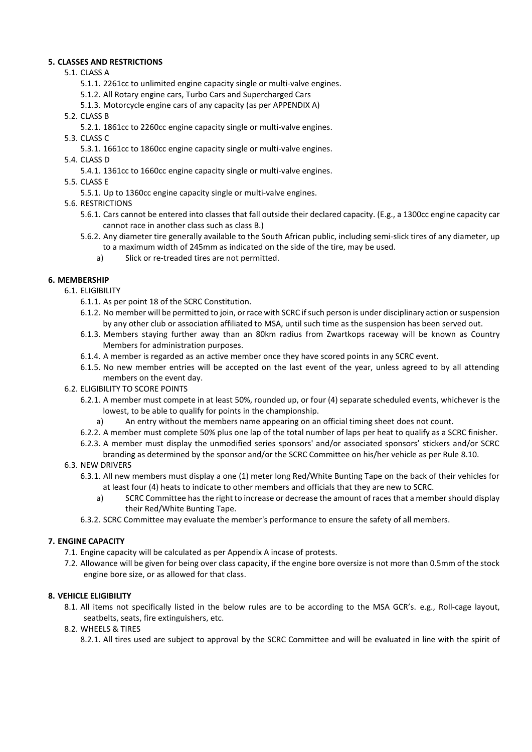# **5. CLASSES AND RESTRICTIONS**

- 5.1. CLASS A
	- 5.1.1. 2261cc to unlimited engine capacity single or multi-valve engines.
	- 5.1.2. All Rotary engine cars, Turbo Cars and Supercharged Cars
	- 5.1.3. Motorcycle engine cars of any capacity (as per APPENDIX A)
- 5.2. CLASS B
	- 5.2.1. 1861cc to 2260cc engine capacity single or multi-valve engines.
- 5.3. CLASS C
	- 5.3.1. 1661cc to 1860cc engine capacity single or multi-valve engines.
- 5.4. CLASS D
	- 5.4.1. 1361cc to 1660cc engine capacity single or multi-valve engines.
- 5.5. CLASS E
	- 5.5.1. Up to 1360cc engine capacity single or multi-valve engines.
- 5.6. RESTRICTIONS
	- 5.6.1. Cars cannot be entered into classes that fall outside their declared capacity. (E.g., a 1300cc engine capacity car cannot race in another class such as class B.)
	- 5.6.2. Any diameter tire generally available to the South African public, including semi-slick tires of any diameter, up to a maximum width of 245mm as indicated on the side of the tire, may be used.
		- a) Slick or re-treaded tires are not permitted.

# **6. MEMBERSHIP**

- 6.1. ELIGIBILITY
	- 6.1.1. As per point 18 of the SCRC Constitution.
	- 6.1.2. No member will be permitted to join, or race with SCRC if such person is under disciplinary action or suspension by any other club or association affiliated to MSA, until such time as the suspension has been served out.
	- 6.1.3. Members staying further away than an 80km radius from Zwartkops raceway will be known as Country Members for administration purposes.
	- 6.1.4. A member is regarded as an active member once they have scored points in any SCRC event.
	- 6.1.5. No new member entries will be accepted on the last event of the year, unless agreed to by all attending members on the event day.
- 6.2. ELIGIBILITY TO SCORE POINTS
	- 6.2.1. A member must compete in at least 50%, rounded up, or four (4) separate scheduled events, whichever is the lowest, to be able to qualify for points in the championship.
		- a) An entry without the members name appearing on an official timing sheet does not count.
	- 6.2.2. A member must complete 50% plus one lap of the total number of laps per heat to qualify as a SCRC finisher.
	- 6.2.3. A member must display the unmodified series sponsors' and/or associated sponsors' stickers and/or SCRC branding as determined by the sponsor and/or the SCRC Committee on his/her vehicle as per Rule 8.10.
- 6.3. NEW DRIVERS
	- 6.3.1. All new members must display a one (1) meter long Red/White Bunting Tape on the back of their vehicles for at least four (4) heats to indicate to other members and officials that they are new to SCRC.
		- a) SCRC Committee has the right to increase or decrease the amount of races that a member should display their Red/White Bunting Tape.
	- 6.3.2. SCRC Committee may evaluate the member's performance to ensure the safety of all members.

# **7. ENGINE CAPACITY**

- 7.1. Engine capacity will be calculated as per Appendix A incase of protests.
- 7.2. Allowance will be given for being over class capacity, if the engine bore oversize is not more than 0.5mm of the stock engine bore size, or as allowed for that class.

# **8. VEHICLE ELIGIBILITY**

8.1. All items not specifically listed in the below rules are to be according to the MSA GCR's. e.g., Roll-cage layout, seatbelts, seats, fire extinguishers, etc.

# 8.2. WHEELS & TIRES

8.2.1. All tires used are subject to approval by the SCRC Committee and will be evaluated in line with the spirit of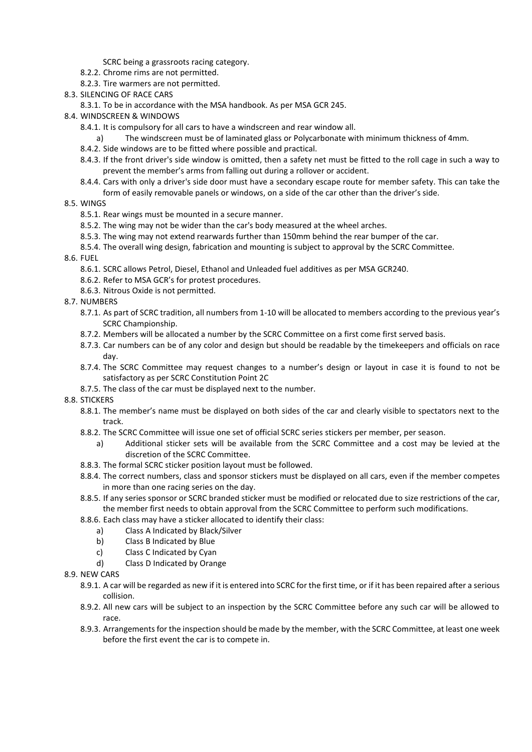- SCRC being a grassroots racing category.
- 8.2.2. Chrome rims are not permitted.
- 8.2.3. Tire warmers are not permitted.
- 8.3. SILENCING OF RACE CARS
	- 8.3.1. To be in accordance with the MSA handbook. As per MSA GCR 245.
- 8.4. WINDSCREEN & WINDOWS
	- 8.4.1. It is compulsory for all cars to have a windscreen and rear window all.
	- a) The windscreen must be of laminated glass or Polycarbonate with minimum thickness of 4mm.
	- 8.4.2. Side windows are to be fitted where possible and practical.
	- 8.4.3. If the front driver's side window is omitted, then a safety net must be fitted to the roll cage in such a way to prevent the member's arms from falling out during a rollover or accident.
	- 8.4.4. Cars with only a driver's side door must have a secondary escape route for member safety. This can take the form of easily removable panels or windows, on a side of the car other than the driver's side.

#### 8.5. WINGS

- 8.5.1. Rear wings must be mounted in a secure manner.
- 8.5.2. The wing may not be wider than the car's body measured at the wheel arches.
- 8.5.3. The wing may not extend rearwards further than 150mm behind the rear bumper of the car.
- 8.5.4. The overall wing design, fabrication and mounting is subject to approval by the SCRC Committee.

#### 8.6. FUEL

- 8.6.1. SCRC allows Petrol, Diesel, Ethanol and Unleaded fuel additives as per MSA GCR240.
- 8.6.2. Refer to MSA GCR's for protest procedures.
- 8.6.3. Nitrous Oxide is not permitted.
- 8.7. NUMBERS
	- 8.7.1. As part of SCRC tradition, all numbers from 1-10 will be allocated to members according to the previous year's SCRC Championship.
	- 8.7.2. Members will be allocated a number by the SCRC Committee on a first come first served basis.
	- 8.7.3. Car numbers can be of any color and design but should be readable by the timekeepers and officials on race day.
	- 8.7.4. The SCRC Committee may request changes to a number's design or layout in case it is found to not be satisfactory as per SCRC Constitution Point 2C
	- 8.7.5. The class of the car must be displayed next to the number.

8.8. STICKERS

- 8.8.1. The member's name must be displayed on both sides of the car and clearly visible to spectators next to the track.
- 8.8.2. The SCRC Committee will issue one set of official SCRC series stickers per member, per season.
	- a) Additional sticker sets will be available from the SCRC Committee and a cost may be levied at the discretion of the SCRC Committee.
- 8.8.3. The formal SCRC sticker position layout must be followed.
- 8.8.4. The correct numbers, class and sponsor stickers must be displayed on all cars, even if the member competes in more than one racing series on the day.
- 8.8.5. If any series sponsor or SCRC branded sticker must be modified or relocated due to size restrictions of the car, the member first needs to obtain approval from the SCRC Committee to perform such modifications.
- 8.8.6. Each class may have a sticker allocated to identify their class:
	- a) Class A Indicated by Black/Silver
	- b) Class B Indicated by Blue
	- c) Class C Indicated by Cyan
	- d) Class D Indicated by Orange
- 8.9. NEW CARS
	- 8.9.1. A car will be regarded as new if it is entered into SCRC for the first time, or if it has been repaired after a serious collision.
	- 8.9.2. All new cars will be subject to an inspection by the SCRC Committee before any such car will be allowed to race.
	- 8.9.3. Arrangements for the inspection should be made by the member, with the SCRC Committee, at least one week before the first event the car is to compete in.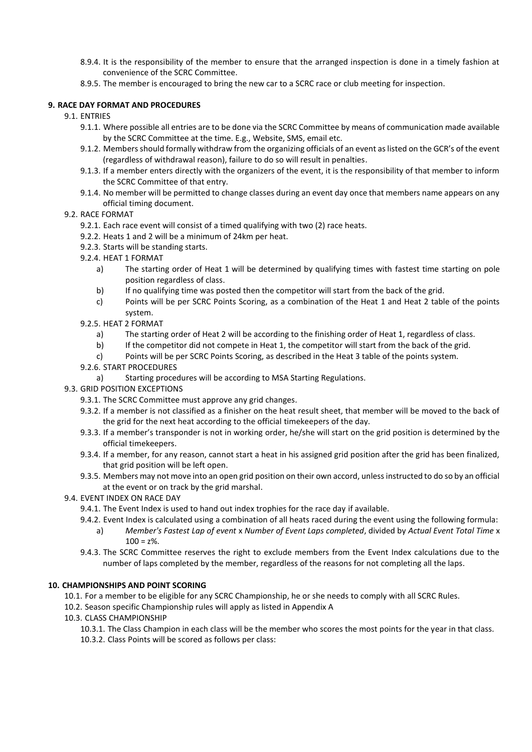- 8.9.4. It is the responsibility of the member to ensure that the arranged inspection is done in a timely fashion at convenience of the SCRC Committee.
- 8.9.5. The member is encouraged to bring the new car to a SCRC race or club meeting for inspection.

# **9. RACE DAY FORMAT AND PROCEDURES**

# 9.1. ENTRIES

- 9.1.1. Where possible all entries are to be done via the SCRC Committee by means of communication made available by the SCRC Committee at the time. E.g., Website, SMS, email etc.
- 9.1.2. Members should formally withdraw from the organizing officials of an event as listed on the GCR's of the event (regardless of withdrawal reason), failure to do so will result in penalties.
- 9.1.3. If a member enters directly with the organizers of the event, it is the responsibility of that member to inform the SCRC Committee of that entry.
- 9.1.4. No member will be permitted to change classes during an event day once that members name appears on any official timing document.
- 9.2. RACE FORMAT
	- 9.2.1. Each race event will consist of a timed qualifying with two (2) race heats.
	- 9.2.2. Heats 1 and 2 will be a minimum of 24km per heat.
	- 9.2.3. Starts will be standing starts.
	- 9.2.4. HEAT 1 FORMAT
		- a) The starting order of Heat 1 will be determined by qualifying times with fastest time starting on pole position regardless of class.
		- b) If no qualifying time was posted then the competitor will start from the back of the grid.
		- c) Points will be per SCRC Points Scoring, as a combination of the Heat 1 and Heat 2 table of the points system.
	- 9.2.5. HEAT 2 FORMAT
		- a) The starting order of Heat 2 will be according to the finishing order of Heat 1, regardless of class.
		- b) If the competitor did not compete in Heat 1, the competitor will start from the back of the grid.
		- c) Points will be per SCRC Points Scoring, as described in the Heat 3 table of the points system.
	- 9.2.6. START PROCEDURES
		- a) Starting procedures will be according to MSA Starting Regulations.
- 9.3. GRID POSITION EXCEPTIONS
	- 9.3.1. The SCRC Committee must approve any grid changes.
	- 9.3.2. If a member is not classified as a finisher on the heat result sheet, that member will be moved to the back of the grid for the next heat according to the official timekeepers of the day.
	- 9.3.3. If a member's transponder is not in working order, he/she will start on the grid position is determined by the official timekeepers.
	- 9.3.4. If a member, for any reason, cannot start a heat in his assigned grid position after the grid has been finalized, that grid position will be left open.
	- 9.3.5. Members may not move into an open grid position on their own accord, unless instructed to do so by an official at the event or on track by the grid marshal.
- 9.4. EVENT INDEX ON RACE DAY
	- 9.4.1. The Event Index is used to hand out index trophies for the race day if available.
	- 9.4.2. Event Index is calculated using a combination of all heats raced during the event using the following formula:
		- a) *Member's Fastest Lap of event* x *Number of Event Laps completed*, divided by *Actual Event Total Time* x  $100 = 7\%$
	- 9.4.3. The SCRC Committee reserves the right to exclude members from the Event Index calculations due to the number of laps completed by the member, regardless of the reasons for not completing all the laps.

#### **10. CHAMPIONSHIPS AND POINT SCORING**

10.1. For a member to be eligible for any SCRC Championship, he or she needs to comply with all SCRC Rules.

- 10.2. Season specific Championship rules will apply as listed in Appendix A
- 10.3. CLASS CHAMPIONSHIP

10.3.1. The Class Champion in each class will be the member who scores the most points for the year in that class. 10.3.2. Class Points will be scored as follows per class: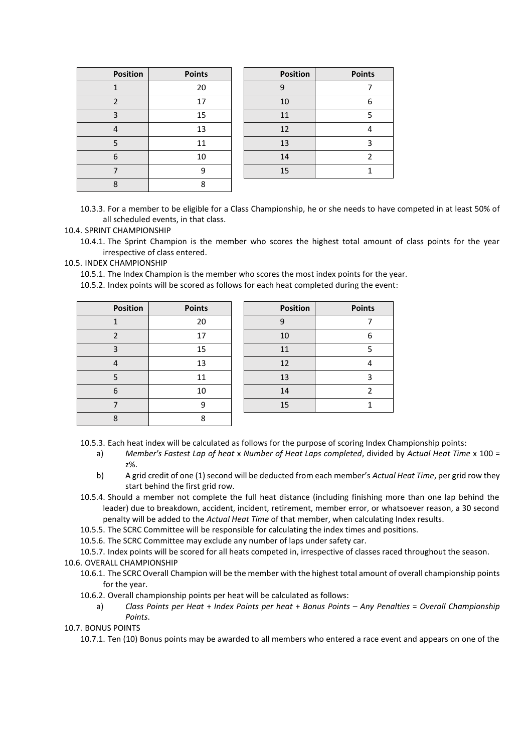| <b>Position</b> | <b>Points</b> | <b>Position</b> | <b>Points</b> |
|-----------------|---------------|-----------------|---------------|
|                 | 20            | g               |               |
| ำ               | 17            | 10              | 6             |
| ำ               | 15            | 11              |               |
| 4               | 13            | 12              |               |
|                 | 11            | 13              |               |
| 6               | 10            | 14              |               |
|                 | 9             | 15              |               |
| o               | o             |                 |               |

10.3.3. For a member to be eligible for a Class Championship, he or she needs to have competed in at least 50% of all scheduled events, in that class.

10.4. SPRINT CHAMPIONSHIP

10.4.1. The Sprint Champion is the member who scores the highest total amount of class points for the year irrespective of class entered.

10.5. INDEX CHAMPIONSHIP

10.5.1. The Index Champion is the member who scores the most index points for the year.

10.5.2. Index points will be scored as follows for each heat completed during the event:

| <b>Position</b>          | <b>Points</b> | <b>Position</b> | <b>Points</b> |
|--------------------------|---------------|-----------------|---------------|
|                          | 20            | 9               |               |
| $\overline{\phantom{0}}$ | 17            | 10              | 6             |
| з                        | 15            | 11              | 5             |
|                          | 13            | 12              | 4             |
|                          | 11            | 13              | 3             |
| 6                        | 10            | 14              | 2             |
|                          | q             | 15              |               |
| 8                        | 8             |                 |               |
|                          |               |                 |               |

10.5.3. Each heat index will be calculated as follows for the purpose of scoring Index Championship points:

- a) *Member's Fastest Lap of heat* x *Number of Heat Laps completed*, divided by *Actual Heat Time* x 100 = z%.
- b) A grid credit of one (1) second will be deducted from each member's *Actual Heat Time*, per grid row they start behind the first grid row.
- 10.5.4. Should a member not complete the full heat distance (including finishing more than one lap behind the leader) due to breakdown, accident, incident, retirement, member error, or whatsoever reason, a 30 second penalty will be added to the *Actual Heat Time* of that member, when calculating Index results.
- 10.5.5. The SCRC Committee will be responsible for calculating the index times and positions.
- 10.5.6. The SCRC Committee may exclude any number of laps under safety car.

10.5.7. Index points will be scored for all heats competed in, irrespective of classes raced throughout the season. 10.6. OVERALL CHAMPIONSHIP

- 10.6.1. The SCRC Overall Champion will be the member with the highest total amount of overall championship points for the year.
- 10.6.2. Overall championship points per heat will be calculated as follows:
	- a) *Class Points per Heat* + *Index Points per heat* + *Bonus Points Any Penalties* = *Overall Championship Points*.

10.7. BONUS POINTS

10.7.1. Ten (10) Bonus points may be awarded to all members who entered a race event and appears on one of the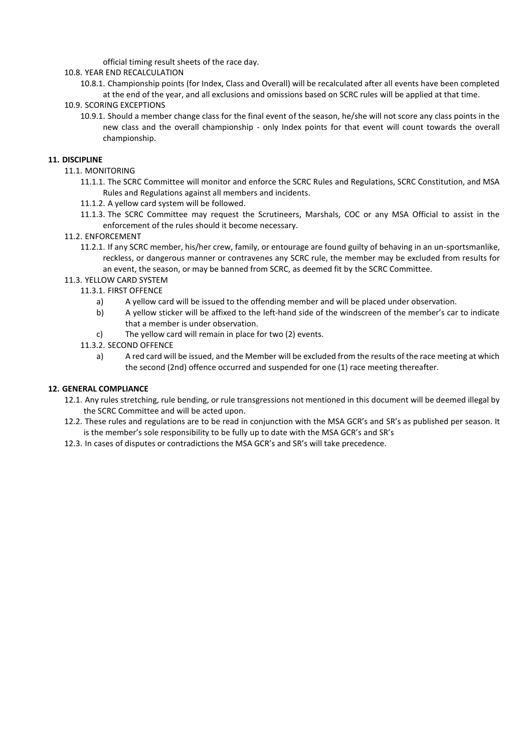official timing result sheets of the race day.

# 10.8. YEAR END RECALCULATION

10.8.1. Championship points (for Index, Class and Overall) will be recalculated after all events have been completed at the end of the year, and all exclusions and omissions based on SCRC rules will be applied at that time.

# 10.9. SCORING EXCEPTIONS

10.9.1. Should a member change class for the final event of the season, he/she will not score any class points in the new class and the overall championship - only Index points for that event will count towards the overall championship.

# **11. DISCIPLINE**

- 11.1. MONITORING
	- 11.1.1. The SCRC Committee will monitor and enforce the SCRC Rules and Regulations, SCRC Constitution, and MSA Rules and Regulations against all members and incidents.
	- 11.1.2. A yellow card system will be followed.
	- 11.1.3. The SCRC Committee may request the Scrutineers, Marshals, COC or any MSA Official to assist in the enforcement of the rules should it become necessary.

# 11.2. ENFORCEMENT

11.2.1. If any SCRC member, his/her crew, family, or entourage are found guilty of behaving in an un-sportsmanlike, reckless, or dangerous manner or contravenes any SCRC rule, the member may be excluded from results for an event, the season, or may be banned from SCRC, as deemed fit by the SCRC Committee.

# 11.3. YELLOW CARD SYSTEM

# 11.3.1. FIRST OFFENCE

- a) A yellow card will be issued to the offending member and will be placed under observation.
- b) A yellow sticker will be affixed to the left-hand side of the windscreen of the member's car to indicate that a member is under observation.
- c) The yellow card will remain in place for two (2) events.

# 11.3.2. SECOND OFFENCE

a) A red card will be issued, and the Member will be excluded from the results of the race meeting at which the second (2nd) offence occurred and suspended for one (1) race meeting thereafter.

#### **12. GENERAL COMPLIANCE**

- 12.1. Any rules stretching, rule bending, or rule transgressions not mentioned in this document will be deemed illegal by the SCRC Committee and will be acted upon.
- 12.2. These rules and regulations are to be read in conjunction with the MSA GCR's and SR's as published per season. It is the member's sole responsibility to be fully up to date with the MSA GCR's and SR's
- 12.3. In cases of disputes or contradictions the MSA GCR's and SR's will take precedence.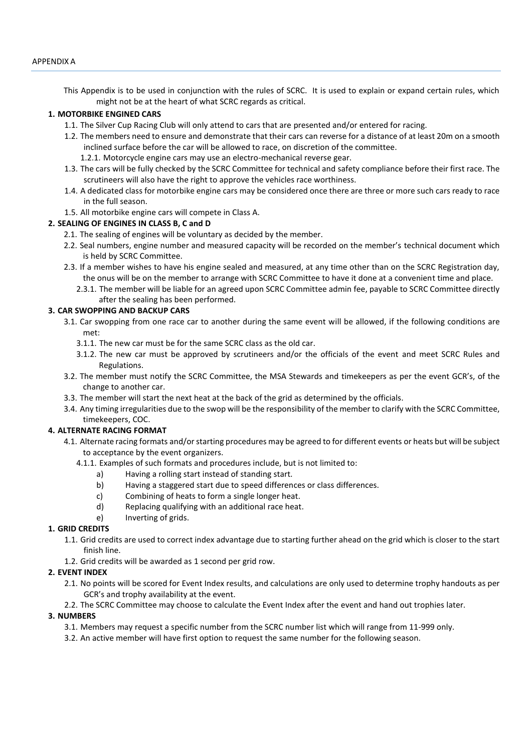This Appendix is to be used in conjunction with the rules of SCRC. It is used to explain or expand certain rules, which might not be at the heart of what SCRC regards as critical.

#### **1. MOTORBIKE ENGINED CARS**

- 1.1. The Silver Cup Racing Club will only attend to cars that are presented and/or entered for racing.
- 1.2. The members need to ensure and demonstrate that their cars can reverse for a distance of at least 20m on a smooth inclined surface before the car will be allowed to race, on discretion of the committee.
	- 1.2.1. Motorcycle engine cars may use an electro-mechanical reverse gear.
- 1.3. The cars will be fully checked by the SCRC Committee for technical and safety compliance before their first race. The scrutineers will also have the right to approve the vehicles race worthiness.
- 1.4. A dedicated class for motorbike engine cars may be considered once there are three or more such cars ready to race in the full season.
- 1.5. All motorbike engine cars will compete in Class A.

#### **2. SEALING OF ENGINES IN CLASS B, C and D**

- 2.1. The sealing of engines will be voluntary as decided by the member.
- 2.2. Seal numbers, engine number and measured capacity will be recorded on the member's technical document which is held by SCRC Committee.
- 2.3. If a member wishes to have his engine sealed and measured, at any time other than on the SCRC Registration day, the onus will be on the member to arrange with SCRC Committee to have it done at a convenient time and place.
	- 2.3.1. The member will be liable for an agreed upon SCRC Committee admin fee, payable to SCRC Committee directly after the sealing has been performed.

#### **3. CAR SWOPPING AND BACKUP CARS**

- 3.1. Car swopping from one race car to another during the same event will be allowed, if the following conditions are met:
	- 3.1.1. The new car must be for the same SCRC class as the old car.
	- 3.1.2. The new car must be approved by scrutineers and/or the officials of the event and meet SCRC Rules and Regulations.
- 3.2. The member must notify the SCRC Committee, the MSA Stewards and timekeepers as per the event GCR's, of the change to another car.
- 3.3. The member will start the next heat at the back of the grid as determined by the officials.
- 3.4. Any timing irregularities due to the swop will be the responsibility of the member to clarify with the SCRC Committee, timekeepers, COC.

#### **4. ALTERNATE RACING FORMAT**

- 4.1. Alternate racing formats and/or starting procedures may be agreed to for different events or heats but will be subject to acceptance by the event organizers.
	- 4.1.1. Examples of such formats and procedures include, but is not limited to:
		- a) Having a rolling start instead of standing start.
		- b) Having a staggered start due to speed differences or class differences.
		- c) Combining of heats to form a single longer heat.
		- d) Replacing qualifying with an additional race heat.
		- e) Inverting of grids.

#### **1. GRID CREDITS**

- 1.1. Grid credits are used to correct index advantage due to starting further ahead on the grid which is closer to the start finish line.
- 1.2. Grid credits will be awarded as 1 second per grid row.

#### **2. EVENT INDEX**

- 2.1. No points will be scored for Event Index results, and calculations are only used to determine trophy handouts as per GCR's and trophy availability at the event.
- 2.2. The SCRC Committee may choose to calculate the Event Index after the event and hand out trophies later.

#### **3. NUMBERS**

- 3.1. Members may request a specific number from the SCRC number list which will range from 11-999 only.
- 3.2. An active member will have first option to request the same number for the following season.